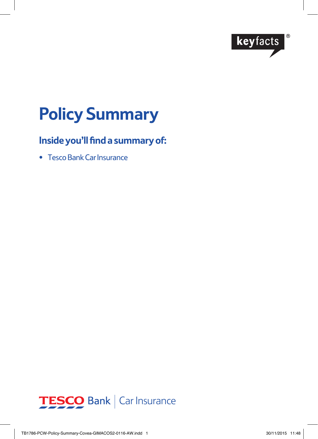

# **Policy Summary**

# **Inside you'll find a summary of:**

• Tesco Bank Car Insurance

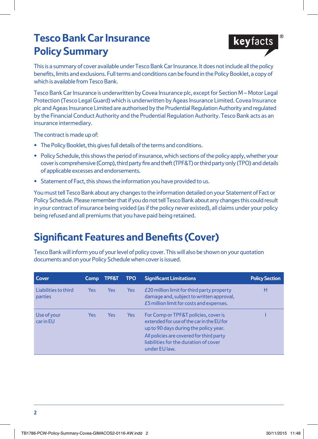# **Tesco Bank Car Insurance Policy Summary**



This is a summary of cover available under Tesco Bank Car Insurance. It does not include all the policy benefits, limits and exclusions. Full terms and conditions can be found in the Policy Booklet, a copy of which is available from Tesco Bank.

Tesco Bank Car Insurance is underwritten by Covea Insurance plc, except for Section M – Motor Legal Protection (Tesco Legal Guard) which is underwritten by Ageas Insurance Limited. Covea Insurance plc and Ageas Insurance Limited are authorised by the Prudential Regulation Authority and regulated by the Financial Conduct Authority and the Prudential Regulation Authority. Tesco Bank acts as an insurance intermediary.

The contract is made up of:

- **•** The Policy Booklet, this gives full details of the terms and conditions.
- **•** Policy Schedule, this shows the period of insurance, which sections of the policy apply, whether your cover is comprehensive (Comp), third party fire and theft (TPF&T) or third party only (TPO) and details of applicable excesses and endorsements.
- **•** Statement of Fact, this shows the information you have provided to us.

You must tell Tesco Bank about any changes to the information detailed on your Statement of Fact or Policy Schedule. Please remember that if you do not tell Tesco Bank about any changes this could result in your contract of insurance being voided (as if the policy never existed), all claims under your policy being refused and all premiums that you have paid being retained.

# **Significant Features and Benefits (Cover)**

Tesco Bank will inform you of your level of policy cover. This will also be shown on your quotation documents and on your Policy Schedule when cover is issued.

| Cover                           | <b>Comp</b> | <b>TPF&amp;T</b> | <b>TPO</b> | <b>Significant Limitations</b>                                                                                                                                                                                                   | <b>Policy Section</b> |
|---------------------------------|-------------|------------------|------------|----------------------------------------------------------------------------------------------------------------------------------------------------------------------------------------------------------------------------------|-----------------------|
| Liabilities to third<br>parties | Yes.        | Yes              | <b>Yes</b> | £20 million limit for third party property<br>damage and, subject to written approval,<br>£5 million limit for costs and expenses.                                                                                               | н                     |
| Use of your<br>car in EU        | <b>Yes</b>  | <b>Yes</b>       | <b>Yes</b> | For Comp or TPF&T policies, cover is<br>extended for use of the car in the EU for<br>up to 90 days during the policy year.<br>All policies are covered for third party<br>liabilities for the duration of cover<br>under EU law. |                       |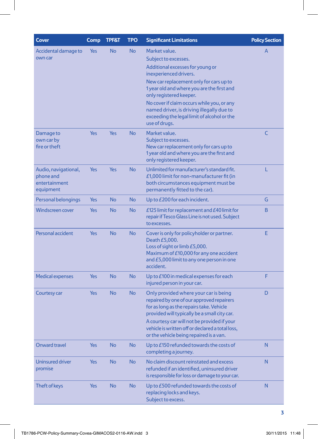| Cover                                                           | <b>Comp</b> | <b>TPF&amp;T</b> | TPO           | <b>Significant Limitations</b>                                                                                                                                                                                                                                                                                                                                    | <b>Policy Section</b> |
|-----------------------------------------------------------------|-------------|------------------|---------------|-------------------------------------------------------------------------------------------------------------------------------------------------------------------------------------------------------------------------------------------------------------------------------------------------------------------------------------------------------------------|-----------------------|
| Accidental damage to<br>own car                                 | Yes         | <b>No</b>        | <b>No</b>     | Market value.<br>Subject to excesses.<br>Additional excesses for young or<br>inexperienced drivers.<br>New car replacement only for cars up to<br>1 year old and where you are the first and<br>only registered keeper.<br>No cover if claim occurs while you, or any<br>named driver, is driving illegally due to<br>exceeding the legal limit of alcohol or the | A                     |
| Damage to<br>own car by<br>fire or theft                        | Yes         | Yes              | <b>No</b>     | use of drugs.<br>Market value.<br>Subject to excesses.<br>New car replacement only for cars up to<br>1 year old and where you are the first and<br>only registered keeper.                                                                                                                                                                                        | C                     |
| Audio, navigational,<br>phone and<br>entertainment<br>equipment | Yes         | Yes              | <b>No</b>     | Unlimited for manufacturer's standard fit.<br>£1,000 limit for non-manufacturer fit (in<br>both circumstances equipment must be<br>permanently fitted to the car).                                                                                                                                                                                                | L                     |
| Personal belongings                                             | Yes         | <b>No</b>        | No            | Up to £200 for each incident.                                                                                                                                                                                                                                                                                                                                     | G                     |
| <b>Windscreen cover</b>                                         | Yes         | <b>No</b>        | No            | £125 limit for replacement and $E$ 40 limit for<br>repair if Tesco Glass Line is not used. Subject<br>to excesses.                                                                                                                                                                                                                                                | B                     |
| Personal accident                                               | Yes         | <b>No</b>        | No            | Cover is only for policyholder or partner.<br>Death £5,000.<br>Loss of sight or limb £5,000.<br>Maximum of £10,000 for any one accident<br>and £5,000 limit to any one person in one<br>accident.                                                                                                                                                                 | Е                     |
| <b>Medical expenses</b>                                         | Yes         | <b>No</b>        | <b>No</b>     | Up to £100 in medical expenses for each<br>injured person in your car.                                                                                                                                                                                                                                                                                            | F                     |
| Courtesy car                                                    | Yes         | <b>No</b>        | <b>No</b>     | D<br>Only provided where your car is being<br>repaired by one of our approved repairers<br>for as long as the repairs take. Vehicle<br>provided will typically be a small city car.<br>A courtesy car will not be provided if your<br>vehicle is written off or declared a total loss,<br>or the vehicle being repaired is a van.                                 |                       |
| Onward travel                                                   | Yes         | ${\sf No}$       | $\mathsf{No}$ | Up to £150 refunded towards the costs of<br>completing a journey.                                                                                                                                                                                                                                                                                                 | N                     |
| <b>Uninsured driver</b><br>promise                              | <b>Yes</b>  | <b>No</b>        | <b>No</b>     | No claim discount reinstated and excess<br>refunded if an identified, uninsured driver<br>is responsible for loss or damage to your car.                                                                                                                                                                                                                          | N                     |
| Theft of keys                                                   | Yes         | <b>No</b>        | <b>No</b>     | Up to £500 refunded towards the costs of<br>replacing locks and keys.<br>Subject to excess.                                                                                                                                                                                                                                                                       | N                     |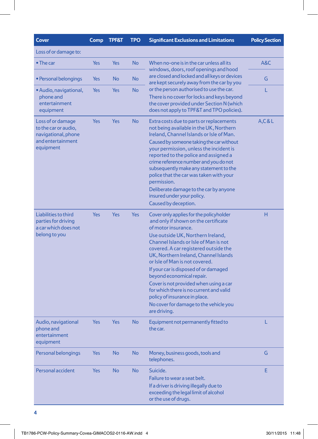| <b>Cover</b>                                                                                       | Comp       | <b>TPF&amp;T</b> | <b>TPO</b> | <b>Significant Exclusions and Limitations</b>                                                                                                                                                                                                                                                                                                                                                                                                                                                                                                                  | <b>Policy Section</b> |
|----------------------------------------------------------------------------------------------------|------------|------------------|------------|----------------------------------------------------------------------------------------------------------------------------------------------------------------------------------------------------------------------------------------------------------------------------------------------------------------------------------------------------------------------------------------------------------------------------------------------------------------------------------------------------------------------------------------------------------------|-----------------------|
| Loss of or damage to:                                                                              |            |                  |            |                                                                                                                                                                                                                                                                                                                                                                                                                                                                                                                                                                |                       |
| $\bullet$ The car                                                                                  | <b>Yes</b> | Yes              | <b>No</b>  | When no-one is in the car unless all its<br>windows, doors, roof openings and hood                                                                                                                                                                                                                                                                                                                                                                                                                                                                             | A&C                   |
| • Personal belongings                                                                              | Yes        | No               | <b>No</b>  | are closed and locked and all keys or devices<br>are kept securely away from the car by you                                                                                                                                                                                                                                                                                                                                                                                                                                                                    | G                     |
| • Audio, navigational,<br>phone and<br>entertainment<br>equipment                                  | Yes        | Yes              | <b>No</b>  | or the person authorised to use the car.<br>There is no cover for locks and keys beyond<br>the cover provided under Section N (which<br>does not apply to TPF&T and TPO policies).                                                                                                                                                                                                                                                                                                                                                                             | L                     |
| Loss of or damage<br>to the car or audio,<br>navigational, phone<br>and entertainment<br>equipment | Yes        | Yes              | <b>No</b>  | Extra costs due to parts or replacements<br>not being available in the UK, Northern<br>Ireland, Channel Islands or Isle of Man.<br>Caused by someone taking the car without<br>your permission, unless the incident is<br>reported to the police and assigned a<br>crime reference number and you do not<br>subsequently make any statement to the<br>police that the car was taken with your<br>permission.<br>Deliberate damage to the car by anyone<br>insured under your policy.<br>Caused by deception.                                                   | A, C & L              |
| Liabilities to third<br>parties for driving<br>a car which does not<br>belong to you               | <b>Yes</b> | Yes              | <b>Yes</b> | Cover only applies for the policyholder<br>and only if shown on the certificate<br>of motor insurance.<br>Use outside UK, Northern Ireland,<br>Channel Islands or Isle of Man is not<br>covered. A car registered outside the<br>UK, Northern Ireland, Channel Islands<br>or Isle of Man is not covered.<br>If your car is disposed of or damaged<br>beyond economical repair.<br>Cover is not provided when using a car<br>for which there is no current and valid<br>policy of insurance in place.<br>No cover for damage to the vehicle you<br>are driving. |                       |
| Audio, navigational<br>phone and<br>entertainment<br>equipment                                     | <b>Yes</b> | Yes              | <b>No</b>  | L<br>Equipment not permanently fitted to<br>the car.                                                                                                                                                                                                                                                                                                                                                                                                                                                                                                           |                       |
| Personal belongings                                                                                | <b>Yes</b> | No               | <b>No</b>  | Money, business goods, tools and<br>telephones.                                                                                                                                                                                                                                                                                                                                                                                                                                                                                                                | G                     |
| Personal accident                                                                                  | <b>Yes</b> | <b>No</b>        | <b>No</b>  | Suicide.<br>Failure to wear a seat belt.<br>If a driver is driving illegally due to<br>exceeding the legal limit of alcohol<br>or the use of drugs.                                                                                                                                                                                                                                                                                                                                                                                                            | Ε                     |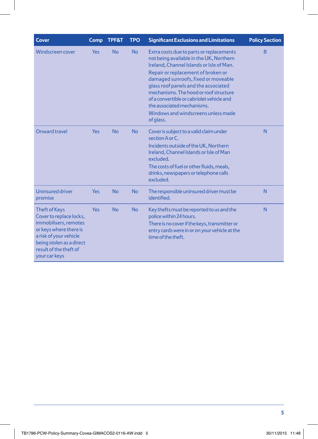| Cover                                                                                                                                                                                               | Comp       | TPF&T     | <b>TPO</b> | <b>Significant Exclusions and Limitations</b>                                                                                                                                                                                                                                                                                                                                                                                 | <b>Policy Section</b> |
|-----------------------------------------------------------------------------------------------------------------------------------------------------------------------------------------------------|------------|-----------|------------|-------------------------------------------------------------------------------------------------------------------------------------------------------------------------------------------------------------------------------------------------------------------------------------------------------------------------------------------------------------------------------------------------------------------------------|-----------------------|
| <b>Windscreen cover</b>                                                                                                                                                                             | <b>Yes</b> | <b>No</b> | <b>No</b>  | Extra costs due to parts or replacements<br>not being available in the UK, Northern<br>Ireland, Channel Islands or Isle of Man.<br>Repair or replacement of broken or<br>damaged sunroofs, fixed or moveable<br>glass roof panels and the associated<br>mechanisms. The hood or roof structure<br>of a convertible or cabriolet vehicle and<br>the associated mechanisms.<br>Windows and windscreens unless made<br>of glass. | B                     |
| Onward travel                                                                                                                                                                                       | Yes        | <b>No</b> | <b>No</b>  | Cover is subject to a valid claim under<br>section A or C.<br>Incidents outside of the UK, Northern<br>Ireland, Channel Islands or Isle of Man<br>excluded.<br>The costs of fuel or other fluids, meals,<br>drinks, newspapers or telephone calls<br>excluded.                                                                                                                                                                | N                     |
| <b>Uninsured driver</b><br>promise                                                                                                                                                                  | <b>Yes</b> | <b>No</b> | <b>No</b>  | The responsible uninsured driver must be<br>identified.                                                                                                                                                                                                                                                                                                                                                                       | N                     |
| <b>Theft of Keys</b><br>Cover to replace locks,<br>immobilisers, remotes<br>or keys where there is<br>a risk of your vehicle<br>being stolen as a direct<br>result of the theft of<br>your car keys | <b>Yes</b> | <b>No</b> | <b>No</b>  | Key thefts must be reported to us and the<br>police within 24 hours.<br>There is no cover if the keys, transmitter or<br>entry cards were in or on your vehicle at the<br>time of the theft.                                                                                                                                                                                                                                  |                       |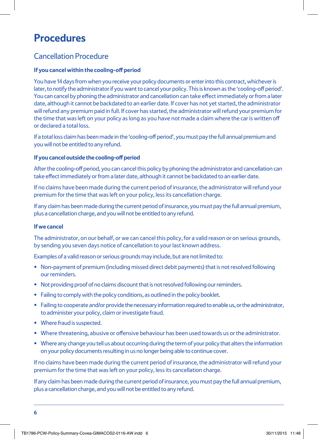# **Procedures**

## Cancellation Procedure

### **If you cancel within the cooling-off period**

You have 14 days from when you receive your policy documents or enter into this contract, whichever is later, to notify the administrator if you want to cancel your policy. This is known as the 'cooling-off period'. You can cancel by phoning the administrator and cancellation can take effect immediately or from a later date, although it cannot be backdated to an earlier date. If cover has not yet started, the administrator will refund any premium paid in full. If cover has started, the administrator will refund your premium for the time that was left on your policy as long as you have not made a claim where the car is written off or declared a total loss.

If a total loss claim has been made in the 'cooling-off period', you must pay the full annual premium and you will not be entitled to any refund.

#### **If you cancel outside the cooling-off period**

After the cooling-off period, you can cancel this policy by phoning the administrator and cancellation can take effect immediately or from a later date, although it cannot be backdated to an earlier date.

If no claims have been made during the current period of insurance, the administrator will refund your premium for the time that was left on your policy, less its cancellation charge.

If any claim has been made during the current period of insurance, you must pay the full annual premium, plus a cancellation charge, and you will not be entitled to any refund.

#### **If we cancel**

The administrator, on our behalf, or we can cancel this policy, for a valid reason or on serious grounds, by sending you seven days notice of cancellation to your last known address.

Examples of a valid reason or serious grounds may include, but are not limited to:

- Non-payment of premium (including missed direct debit payments) that is not resolved following our reminders.
- Not providing proof of no claims discount that is not resolved following our reminders.
- Failing to comply with the policy conditions, as outlined in the policy booklet.
- Failing to cooperate and/or provide the necessary information required to enable us, or the administrator, to administer your policy, claim or investigate fraud.
- Where fraud is suspected.
- Where threatening, abusive or offensive behaviour has been used towards us or the administrator.
- Where any change you tell us about occurring during the term of your policy that alters the information on your policy documents resulting in us no longer being able to continue cover.

If no claims have been made during the current period of insurance, the administrator will refund your premium for the time that was left on your policy, less its cancellation charge.

If any claim has been made during the current period of insurance, you must pay the full annual premium, plus a cancellation charge, and you will not be entitled to any refund.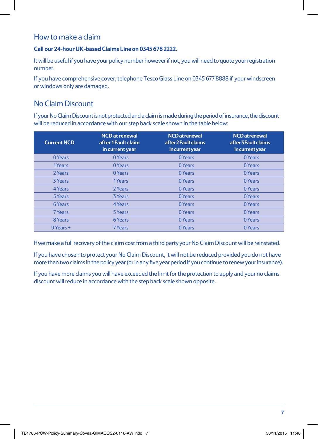## How to make a claim

### **Call our 24-hour UK-based Claims Line on 0345 678 2222.**

It will be useful if you have your policy number however if not, you will need to quote your registration number.

If you have comprehensive cover, telephone Tesco Glass Line on 0345 677 8888 if your windscreen or windows only are damaged.

# No Claim Discount

If your No Claim Discount is not protected and a claim is made during the period of insurance, the discount will be reduced in accordance with our step back scale shown in the table below:

| <b>Current NCD</b> | <b>NCD</b> at renewal<br>after 1 Fault claim<br>in current year | <b>NCD</b> at renewal<br>after 2 Fault claims<br>in current year | <b>NCD</b> at renewal<br>after 3 Fault claims<br>in current year |
|--------------------|-----------------------------------------------------------------|------------------------------------------------------------------|------------------------------------------------------------------|
| 0 Years            | 0 Years                                                         | 0 Years                                                          | 0 Years                                                          |
| 1Years             | 0 Years                                                         | 0 Years                                                          | 0 Years                                                          |
| 2 Years            | 0 Years                                                         | 0 Years                                                          | 0 Years                                                          |
| <b>3 Years</b>     | 1 Years                                                         | 0 Years                                                          | 0 Years                                                          |
| 4 Years            | 2 Years                                                         | 0 Years                                                          | 0 Years                                                          |
| 5 Years            | 3 Years                                                         | 0 Years                                                          | 0 Years                                                          |
| <b>6 Years</b>     | 4 Years                                                         | 0 Years                                                          | 0 Years                                                          |
| 7 Years            | 5 Years                                                         | 0 Years                                                          | 0 Years                                                          |
| 8 Years            | 6 Years                                                         | 0 Years                                                          | 0 Years                                                          |
| 9 Years +          | 7 Years                                                         | 0 Years                                                          | 0 Years                                                          |

If we make a full recovery of the claim cost from a third party your No Claim Discount will be reinstated.

If you have chosen to protect your No Claim Discount, it will not be reduced provided you do not have more than two claims in the policy year (or in any five year period if you continue to renew your insurance).

If you have more claims you will have exceeded the limit for the protection to apply and your no claims discount will reduce in accordance with the step back scale shown opposite.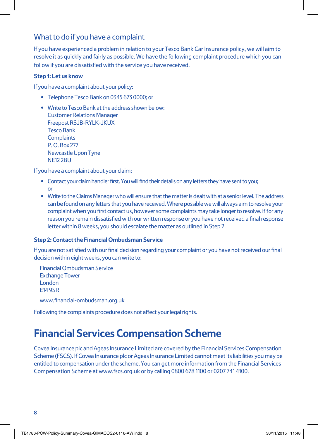## What to do if you have a complaint

If you have experienced a problem in relation to your Tesco Bank Car Insurance policy, we will aim to resolve it as quickly and fairly as possible. We have the following complaint procedure which you can follow if you are dissatisfied with the service you have received.

### **Step 1: Let us know**

If you have a complaint about your policy:

- Telephone Tesco Bank on 0345 673 0000; or
- Write to Tesco Bank at the address shown below: Customer Relations Manager Freepost RSJB-RYLK-JKUX Tesco Bank **Complaints** P. O. Box 277 Newcastle Upon Tyne NE12 2BU

If you have a complaint about your claim:

- Contact your claim handler first. You will find their details on any letters they have sent to you; or
- **•** Write to the Claims Manager who will ensure that the matter is dealt with at a senior level. The address can be found on any letters that you have received. Where possible we will always aim to resolve your complaint when you first contact us, however some complaints may take longer to resolve. If for any reason you remain dissatisfied with our written response or you have not received a final response letter within 8 weeks, you should escalate the matter as outlined in Step 2.

### **Step 2: Contact the Financial Ombudsman Service**

If you are not satisfied with our final decision regarding your complaint or you have not received our final decision within eight weeks, you can write to:

Financial Ombudsman Service Exchange Tower London E14 9SR

www.financial-ombudsman.org.uk

Following the complaints procedure does not affect your legal rights.

# **Financial Services Compensation Scheme**

Covea Insurance plc and Ageas Insurance Limited are covered by the Financial Services Compensation Scheme (FSCS). If Covea Insurance plc or Ageas Insurance Limited cannot meet its liabilities you may be entitled to compensation under the scheme. You can get more information from the Financial Services Compensation Scheme at www.fscs.org.uk or by calling 0800 678 1100 or 0207 741 4100.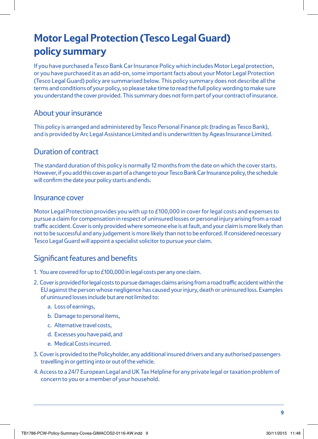# **Motor Legal Protection (Tesco Legal Guard) policy summary**

If you have purchased a Tesco Bank Car Insurance Policy which includes Motor Legal protection, or you have purchased it as an add-on, some important facts about your Motor Legal Protection (Tesco Legal Guard) policy are summarised below. This policy summary does not describe all the terms and conditions of your policy, so please take time to read the full policy wording to make sure you understand the cover provided. This summary does not form part of your contract of insurance.

### About your insurance

This policy is arranged and administered by Tesco Personal Finance plc (trading as Tesco Bank), and is provided by Arc Legal Assistance Limited and is underwritten by Ageas Insurance Limited.

### Duration of contract

The standard duration of this policy is normally 12 months from the date on which the cover starts. However, if you add this cover as part of a change to your Tesco Bank Car Insurance policy, the schedule will confirm the date your policy starts and ends.

### Insurance cover

Motor Legal Protection provides you with up to £100,000 in cover for legal costs and expenses to pursue a claim for compensation in respect of uninsured losses or personal injury arising from a road traffic accident. Cover is only provided where someone else is at fault, and your claim is more likely than not to be successful and any judgement is more likely than not to be enforced. If considered necessary Tesco Legal Guard will appoint a specialist solicitor to pursue your claim.

### Significant features and benefits

- 1. You are covered for up to £100,000 in legal costs per any one claim.
- 2. Cover is provided for legal costs to pursue damages claims arising from a road traffic accident within the EU against the person whose negligence has caused your injury, death or uninsured loss. Examples of uninsured losses include but are not limited to:
	- a. Loss of earnings,
	- b. Damage to personal items,
	- c. Alternative travel costs,
	- d. Excesses you have paid, and
	- e. Medical Costs incurred.
- 3. Cover is provided to the Policyholder, any additional insured drivers and any authorised passengers travelling in or getting into or out of the vehicle.
- 4. Access to a 24/7 European Legal and UK Tax Helpline for any private legal or taxation problem of concern to you or a member of your household.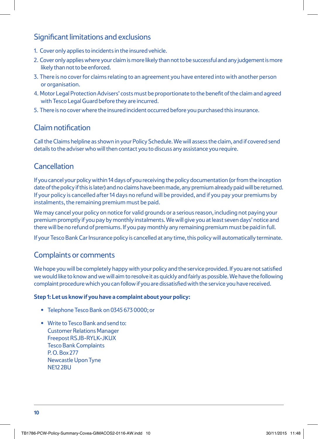## Significant limitations and exclusions

- 1. Cover only applies to incidents in the insured vehicle.
- 2. Cover only applies where your claim is more likely than not to be successful and any judgement is more likely than not to be enforced.
- 3. There is no cover for claims relating to an agreement you have entered into with another person or organisation.
- 4. Motor Legal Protection Advisers' costs must be proportionate to the benefit of the claim and agreed with Tesco Legal Guard before they are incurred.
- 5. There is no cover where the insured incident occurred before you purchased this insurance.

### Claim notification

Call the Claims helpline as shown in your Policy Schedule. We will assess the claim, and if covered send details to the adviser who will then contact you to discuss any assistance you require.

## Cancellation

If you cancel your policy within 14 days of you receiving the policy documentation (or from the inception date of the policy if this is later) and no claims have been made, any premium already paid will be returned. If your policy is cancelled after 14 days no refund will be provided, and if you pay your premiums by instalments, the remaining premium must be paid.

We may cancel your policy on notice for valid grounds or a serious reason, including not paying your premium promptly if you pay by monthly instalments. We will give you at least seven days' notice and there will be no refund of premiums. If you pay monthly any remaining premium must be paid in full.

If your Tesco Bank Car Insurance policy is cancelled at any time, this policy will automatically terminate.

### Complaints or comments

We hope you will be completely happy with your policy and the service provided. If you are not satisfied we would like to know and we will aim to resolve it as quickly and fairly as possible. We have the following complaint procedure which you can follow if you are dissatisfied with the service you have received.

#### **Step 1: Let us know if you have a complaint about your policy:**

- Telephone Tesco Bank on 0345 673 0000; or
- Write to Tesco Bank and send to: Customer Relations Manager Freepost RSJB-RYLK-JKUX Tesco Bank Complaints P. O. Box 277 Newcastle Upon Tyne NE12 2BU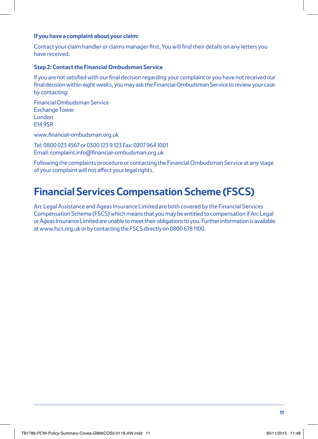#### **If you have a complaint about your claim:**

Contact your claim handler or claims manager first. You will find their details on any letters you have received.

#### **Step 2: Contact the Financial Ombudsman Service**

If you are not satisfied with our final decision regarding your complaint or you have not received our final decision within eight weeks, you may ask the Financial Ombudsman Service to review your case by contacting:

Financial Ombudsman Service Exchange Tower London E14 9SR

www.financial-ombudsman.org.uk

Tel: 0800 023 4567 or 0300 123 9 123 Fax: 0207 964 1001 Email: complaint.info@financial-ombudsman.org.uk

Following the complaints procedure or contacting the Financial Ombudsman Service at any stage of your complaint will not affect your legal rights.

# **Financial Services Compensation Scheme (FSCS)**

Arc Legal Assistance and Ageas Insurance Limited are both covered by the Financial Services Compensation Scheme (FSCS) which means that you may be entitled to compensation if Arc Legal or Ageas Insurance Limited are unable to meet their obligations to you. Further information is available at www.fscs.org.uk or by contacting the FSCS directly on 0800 678 1100.